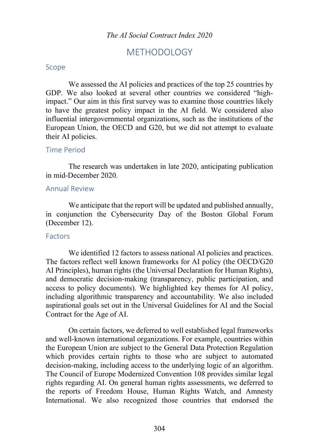# METHODOLOGY

#### Scope

We assessed the AI policies and practices of the top 25 countries by GDP. We also looked at several other countries we considered "highimpact." Our aim in this first survey was to examine those countries likely to have the greatest policy impact in the AI field. We considered also influential intergovernmental organizations, such as the institutions of the European Union, the OECD and G20, but we did not attempt to evaluate their AI policies.

### Time Period

The research was undertaken in late 2020, anticipating publication in mid-December 2020.

### Annual Review

We anticipate that the report will be updated and published annually, in conjunction the Cybersecurity Day of the Boston Global Forum (December 12).

## Factors

We identified 12 factors to assess national AI policies and practices. The factors reflect well known frameworks for AI policy (the OECD/G20 AI Principles), human rights (the Universal Declaration for Human Rights), and democratic decision-making (transparency, public participation, and access to policy documents). We highlighted key themes for AI policy, including algorithmic transparency and accountability. We also included aspirational goals set out in the Universal Guidelines for AI and the Social Contract for the Age of AI.

On certain factors, we deferred to well established legal frameworks and well-known international organizations. For example, countries within the European Union are subject to the General Data Protection Regulation which provides certain rights to those who are subject to automated decision-making, including access to the underlying logic of an algorithm. The Council of Europe Modernized Convention 108 provides similar legal rights regarding AI. On general human rights assessments, we deferred to the reports of Freedom House, Human Rights Watch, and Amnesty International. We also recognized those countries that endorsed the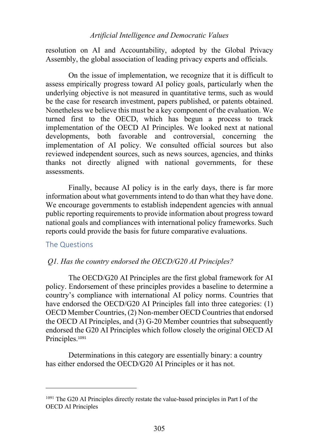resolution on AI and Accountability, adopted by the Global Privacy Assembly, the global association of leading privacy experts and officials.

On the issue of implementation, we recognize that it is difficult to assess empirically progress toward AI policy goals, particularly when the underlying objective is not measured in quantitative terms, such as would be the case for research investment, papers published, or patents obtained. Nonetheless we believe this must be a key component of the evaluation. We turned first to the OECD, which has begun a process to track implementation of the OECD AI Principles. We looked next at national developments, both favorable and controversial, concerning the implementation of AI policy. We consulted official sources but also reviewed independent sources, such as news sources, agencies, and thinks thanks not directly aligned with national governments, for these assessments.

Finally, because AI policy is in the early days, there is far more information about what governments intend to do than what they have done. We encourage governments to establish independent agencies with annual public reporting requirements to provide information about progress toward national goals and compliances with international policy frameworks. Such reports could provide the basis for future comparative evaluations.

## The Questions

## *Q1. Has the country endorsed the OECD/G20 AI Principles?*

The OECD/G20 AI Principles are the first global framework for AI policy. Endorsement of these principles provides a baseline to determine a country's compliance with international AI policy norms. Countries that have endorsed the OECD/G20 AI Principles fall into three categories: (1) OECD Member Countries, (2) Non-member OECD Countries that endorsed the OECD AI Principles, and (3) G-20 Member countries that subsequently endorsed the G20 AI Principles which follow closely the original OECD AI Principles.<sup>1091</sup>

Determinations in this category are essentially binary: a country has either endorsed the OECD/G20 AI Principles or it has not.

<sup>&</sup>lt;sup>1091</sup> The G20 AI Principles directly restate the value-based principles in Part I of the OECD AI Principles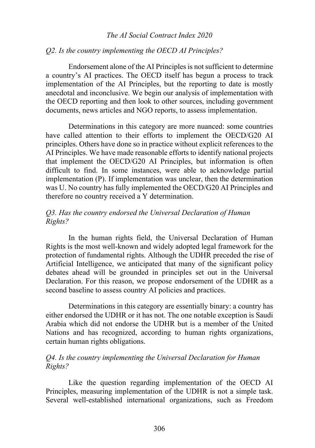### *Q2. Is the country implementing the OECD AI Principles?*

Endorsement alone of the AI Principles is not sufficient to determine a country's AI practices. The OECD itself has begun a process to track implementation of the AI Principles, but the reporting to date is mostly anecdotal and inconclusive. We begin our analysis of implementation with the OECD reporting and then look to other sources, including government documents, news articles and NGO reports, to assess implementation.

Determinations in this category are more nuanced: some countries have called attention to their efforts to implement the OECD/G20 AI principles. Others have done so in practice without explicit references to the AI Principles. We have made reasonable efforts to identify national projects that implement the OECD/G20 AI Principles, but information is often difficult to find. In some instances, were able to acknowledge partial implementation (P). If implementation was unclear, then the determination was U. No country has fully implemented the OECD/G20 AI Principles and therefore no country received a Y determination.

## *Q3. Has the country endorsed the Universal Declaration of Human Rights?*

In the human rights field, the Universal Declaration of Human Rights is the most well-known and widely adopted legal framework for the protection of fundamental rights. Although the UDHR preceded the rise of Artificial Intelligence, we anticipated that many of the significant policy debates ahead will be grounded in principles set out in the Universal Declaration. For this reason, we propose endorsement of the UDHR as a second baseline to assess country AI policies and practices.

Determinations in this category are essentially binary: a country has either endorsed the UDHR or it has not. The one notable exception is Saudi Arabia which did not endorse the UDHR but is a member of the United Nations and has recognized, according to human rights organizations, certain human rights obligations.

## *Q4. Is the country implementing the Universal Declaration for Human Rights?*

Like the question regarding implementation of the OECD AI Principles, measuring implementation of the UDHR is not a simple task. Several well-established international organizations, such as Freedom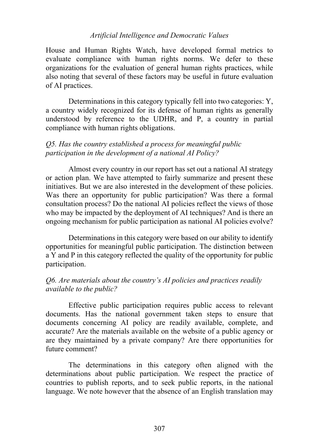House and Human Rights Watch, have developed formal metrics to evaluate compliance with human rights norms. We defer to these organizations for the evaluation of general human rights practices, while also noting that several of these factors may be useful in future evaluation of AI practices.

Determinations in this category typically fell into two categories: Y, a country widely recognized for its defense of human rights as generally understood by reference to the UDHR, and P, a country in partial compliance with human rights obligations.

## *Q5. Has the country established a process for meaningful public participation in the development of a national AI Policy?*

Almost every country in our report has set out a national AI strategy or action plan. We have attempted to fairly summarize and present these initiatives. But we are also interested in the development of these policies. Was there an opportunity for public participation? Was there a formal consultation process? Do the national AI policies reflect the views of those who may be impacted by the deployment of AI techniques? And is there an ongoing mechanism for public participation as national AI policies evolve?

Determinations in this category were based on our ability to identify opportunities for meaningful public participation. The distinction between a Y and P in this category reflected the quality of the opportunity for public participation.

## *Q6. Are materials about the country's AI policies and practices readily available to the public?*

Effective public participation requires public access to relevant documents. Has the national government taken steps to ensure that documents concerning AI policy are readily available, complete, and accurate? Are the materials available on the website of a public agency or are they maintained by a private company? Are there opportunities for future comment?

The determinations in this category often aligned with the determinations about public participation. We respect the practice of countries to publish reports, and to seek public reports, in the national language. We note however that the absence of an English translation may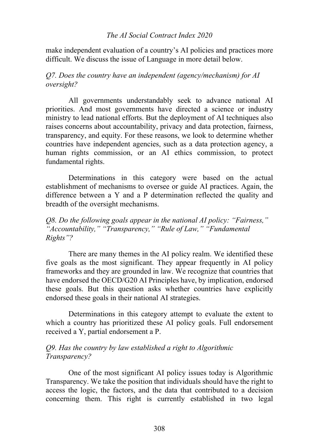make independent evaluation of a country's AI policies and practices more difficult. We discuss the issue of Language in more detail below.

*Q7. Does the country have an independent (agency/mechanism) for AI oversight?* 

All governments understandably seek to advance national AI priorities. And most governments have directed a science or industry ministry to lead national efforts. But the deployment of AI techniques also raises concerns about accountability, privacy and data protection, fairness, transparency, and equity. For these reasons, we look to determine whether countries have independent agencies, such as a data protection agency, a human rights commission, or an AI ethics commission, to protect fundamental rights.

Determinations in this category were based on the actual establishment of mechanisms to oversee or guide AI practices. Again, the difference between a Y and a P determination reflected the quality and breadth of the oversight mechanisms.

*Q8. Do the following goals appear in the national AI policy: "Fairness," "Accountability," "Transparency," "Rule of Law," "Fundamental Rights"?* 

There are many themes in the AI policy realm. We identified these five goals as the most significant. They appear frequently in AI policy frameworks and they are grounded in law. We recognize that countries that have endorsed the OECD/G20 AI Principles have, by implication, endorsed these goals. But this question asks whether countries have explicitly endorsed these goals in their national AI strategies.

Determinations in this category attempt to evaluate the extent to which a country has prioritized these AI policy goals. Full endorsement received a Y, partial endorsement a P.

## *Q9. Has the country by law established a right to Algorithmic Transparency?*

One of the most significant AI policy issues today is Algorithmic Transparency. We take the position that individuals should have the right to access the logic, the factors, and the data that contributed to a decision concerning them. This right is currently established in two legal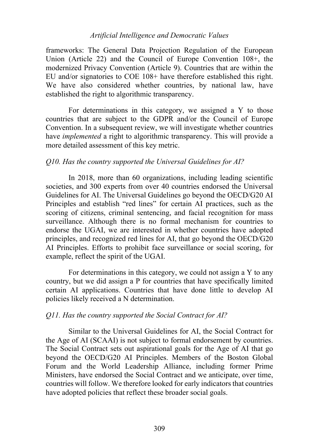frameworks: The General Data Projection Regulation of the European Union (Article 22) and the Council of Europe Convention 108+, the modernized Privacy Convention (Article 9). Countries that are within the EU and/or signatories to COE 108+ have therefore established this right. We have also considered whether countries, by national law, have established the right to algorithmic transparency.

For determinations in this category, we assigned a Y to those countries that are subject to the GDPR and/or the Council of Europe Convention. In a subsequent review, we will investigate whether countries have *implemented* a right to algorithmic transparency. This will provide a more detailed assessment of this key metric.

## *Q10. Has the country supported the Universal Guidelines for AI?*

In 2018, more than 60 organizations, including leading scientific societies, and 300 experts from over 40 countries endorsed the Universal Guidelines for AI. The Universal Guidelines go beyond the OECD/G20 AI Principles and establish "red lines" for certain AI practices, such as the scoring of citizens, criminal sentencing, and facial recognition for mass surveillance. Although there is no formal mechanism for countries to endorse the UGAI, we are interested in whether countries have adopted principles, and recognized red lines for AI, that go beyond the OECD/G20 AI Principles. Efforts to prohibit face surveillance or social scoring, for example, reflect the spirit of the UGAI.

For determinations in this category, we could not assign a Y to any country, but we did assign a P for countries that have specifically limited certain AI applications. Countries that have done little to develop AI policies likely received a N determination.

## *Q11. Has the country supported the Social Contract for AI?*

Similar to the Universal Guidelines for AI, the Social Contract for the Age of AI (SCAAI) is not subject to formal endorsement by countries. The Social Contract sets out aspirational goals for the Age of AI that go beyond the OECD/G20 AI Principles. Members of the Boston Global Forum and the World Leadership Alliance, including former Prime Ministers, have endorsed the Social Contract and we anticipate, over time, countries will follow. We therefore looked for early indicators that countries have adopted policies that reflect these broader social goals.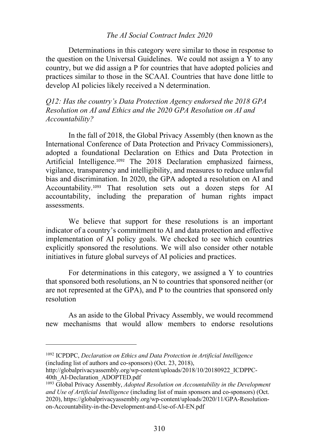Determinations in this category were similar to those in response to the question on the Universal Guidelines. We could not assign a Y to any country, but we did assign a P for countries that have adopted policies and practices similar to those in the SCAAI. Countries that have done little to develop AI policies likely received a N determination.

*Q12: Has the country's Data Protection Agency endorsed the 2018 GPA Resolution on AI and Ethics and the 2020 GPA Resolution on AI and Accountability?*

In the fall of 2018, the Global Privacy Assembly (then known as the International Conference of Data Protection and Privacy Commissioners), adopted a foundational Declaration on Ethics and Data Protection in Artificial Intelligence.<sup>1092</sup> The 2018 Declaration emphasized fairness, vigilance, transparency and intelligibility, and measures to reduce unlawful bias and discrimination. In 2020, the GPA adopted a resolution on AI and Accountability.<sup>1093</sup> That resolution sets out a dozen steps for AI accountability, including the preparation of human rights impact assessments.

We believe that support for these resolutions is an important indicator of a country's commitment to AI and data protection and effective implementation of AI policy goals. We checked to see which countries explicitly sponsored the resolutions. We will also consider other notable initiatives in future global surveys of AI policies and practices.

For determinations in this category, we assigned a Y to countries that sponsored both resolutions, an N to countries that sponsored neither (or are not represented at the GPA), and P to the countries that sponsored only resolution

As an aside to the Global Privacy Assembly, we would recommend new mechanisms that would allow members to endorse resolutions

<sup>1092</sup> ICPDPC, *Declaration on Ethics and Data Protection in Artificial Intelligence*  (including list of authors and co-sponsors) (Oct. 23, 2018),

http://globalprivacyassembly.org/wp-content/uploads/2018/10/20180922\_ICDPPC-40th\_AI-Declaration\_ADOPTED.pdf

<sup>1093</sup> Global Privacy Assembly, *Adopted Resolution on Accountability in the Development and Use of Artificial Intelligence* (including list of main sponsors and co-sponsors) (Oct. 2020), https://globalprivacyassembly.org/wp-content/uploads/2020/11/GPA-Resolutionon-Accountability-in-the-Development-and-Use-of-AI-EN.pdf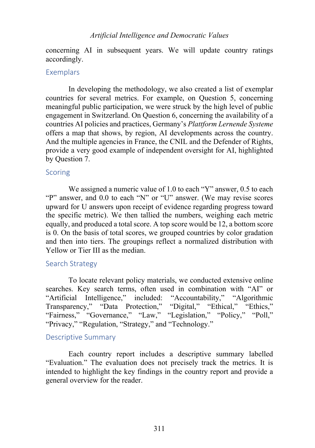concerning AI in subsequent years. We will update country ratings accordingly.

## **Exemplars**

In developing the methodology, we also created a list of exemplar countries for several metrics. For example, on Question 5, concerning meaningful public participation, we were struck by the high level of public engagement in Switzerland. On Question 6, concerning the availability of a countries AI policies and practices, Germany's *Plattform Lernende Systeme* offers a map that shows, by region, AI developments across the country. And the multiple agencies in France, the CNIL and the Defender of Rights, provide a very good example of independent oversight for AI, highlighted by Question 7.

## Scoring

We assigned a numeric value of 1.0 to each "Y" answer, 0.5 to each "P" answer, and 0.0 to each "N" or "U" answer. (We may revise scores upward for U answers upon receipt of evidence regarding progress toward the specific metric). We then tallied the numbers, weighing each metric equally, and produced a total score. A top score would be 12, a bottom score is 0. On the basis of total scores, we grouped countries by color gradation and then into tiers. The groupings reflect a normalized distribution with Yellow or Tier III as the median.

## Search Strategy

To locate relevant policy materials, we conducted extensive online searches. Key search terms, often used in combination with "AI" or "Artificial Intelligence," included: "Accountability," "Algorithmic Transparency," "Data Protection," "Digital," "Ethical," "Ethics," "Fairness," "Governance," "Law," "Legislation," "Policy," "Poll," "Privacy," "Regulation, "Strategy," and "Technology."

## Descriptive Summary

Each country report includes a descriptive summary labelled "Evaluation." The evaluation does not precisely track the metrics. It is intended to highlight the key findings in the country report and provide a general overview for the reader.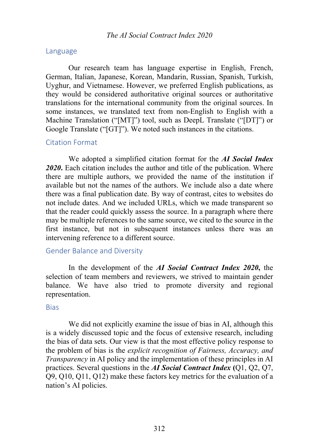#### Language

Our research team has language expertise in English, French, German, Italian, Japanese, Korean, Mandarin, Russian, Spanish, Turkish, Uyghur, and Vietnamese. However, we preferred English publications, as they would be considered authoritative original sources or authoritative translations for the international community from the original sources. In some instances, we translated text from non-English to English with a Machine Translation ("[MT]") tool, such as DeepL Translate ("[DT]") or Google Translate ("[GT]"). We noted such instances in the citations.

### Citation Format

We adopted a simplified citation format for the *AI Social Index 2020***.** Each citation includes the author and title of the publication. Where there are multiple authors, we provided the name of the institution if available but not the names of the authors. We include also a date where there was a final publication date. By way of contrast, cites to websites do not include dates. And we included URLs, which we made transparent so that the reader could quickly assess the source. In a paragraph where there may be multiple references to the same source, we cited to the source in the first instance, but not in subsequent instances unless there was an intervening reference to a different source.

## Gender Balance and Diversity

In the development of the *AI Social Contract Index 2020***,** the selection of team members and reviewers, we strived to maintain gender balance. We have also tried to promote diversity and regional representation.

#### **Bias**

We did not explicitly examine the issue of bias in AI, although this is a widely discussed topic and the focus of extensive research, including the bias of data sets. Our view is that the most effective policy response to the problem of bias is the *explicit recognition of Fairness, Accuracy, and Transparency* in AI policy and the implementation of these principles in AI practices. Several questions in the *AI Social Contract Index* **(**Q1, Q2, Q7, Q9, Q10, Q11, Q12) make these factors key metrics for the evaluation of a nation's AI policies.